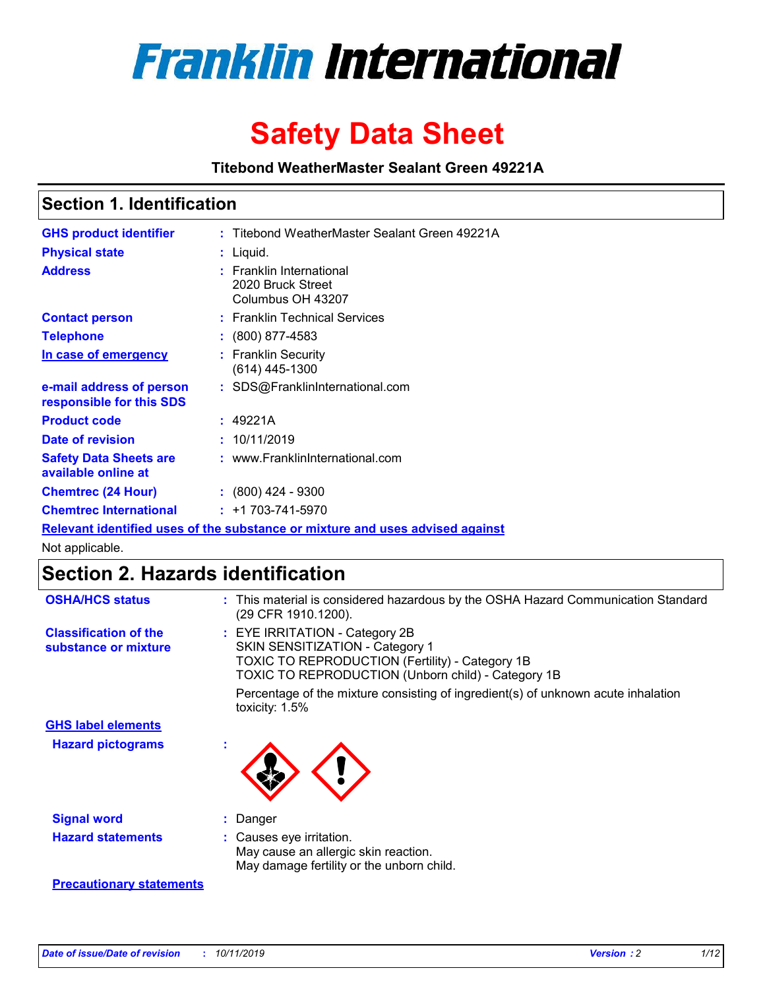

# **Safety Data Sheet**

**Titebond WeatherMaster Sealant Green 49221A**

### **Section 1. Identification**

| <b>GHS product identifier</b>                        | : Titebond WeatherMaster Sealant Green 49221A                                 |
|------------------------------------------------------|-------------------------------------------------------------------------------|
| <b>Physical state</b>                                | : Liquid.                                                                     |
| <b>Address</b>                                       | : Franklin International<br>2020 Bruck Street<br>Columbus OH 43207            |
| <b>Contact person</b>                                | : Franklin Technical Services                                                 |
| <b>Telephone</b>                                     | $\div$ (800) 877-4583                                                         |
| In case of emergency                                 | : Franklin Security<br>$(614)$ 445-1300                                       |
| e-mail address of person<br>responsible for this SDS | : SDS@FranklinInternational.com                                               |
| <b>Product code</b>                                  | : 49221A                                                                      |
| Date of revision                                     | : 10/11/2019                                                                  |
| <b>Safety Data Sheets are</b><br>available online at | : www.FranklinInternational.com                                               |
| <b>Chemtrec (24 Hour)</b>                            | $\div$ (800) 424 - 9300                                                       |
| <b>Chemtrec International</b>                        | $: +1703 - 741 - 5970$                                                        |
|                                                      | Relevant identified uses of the substance or mixture and uses advised against |

Not applicable.

## **Section 2. Hazards identification**

| <b>OSHA/HCS status</b>                               | : This material is considered hazardous by the OSHA Hazard Communication Standard<br>(29 CFR 1910.1200).                                                                          |
|------------------------------------------------------|-----------------------------------------------------------------------------------------------------------------------------------------------------------------------------------|
| <b>Classification of the</b><br>substance or mixture | : EYE IRRITATION - Category 2B<br>SKIN SENSITIZATION - Category 1<br><b>TOXIC TO REPRODUCTION (Fertility) - Category 1B</b><br>TOXIC TO REPRODUCTION (Unborn child) - Category 1B |
|                                                      | Percentage of the mixture consisting of ingredient(s) of unknown acute inhalation<br>toxicity: $1.5\%$                                                                            |
| <b>GHS label elements</b>                            |                                                                                                                                                                                   |
| <b>Hazard pictograms</b>                             |                                                                                                                                                                                   |
| <b>Signal word</b>                                   | : Danger                                                                                                                                                                          |
| <b>Hazard statements</b>                             | : Causes eye irritation.<br>May cause an allergic skin reaction.<br>May damage fertility or the unborn child.                                                                     |
| <b>Precautionary statements</b>                      |                                                                                                                                                                                   |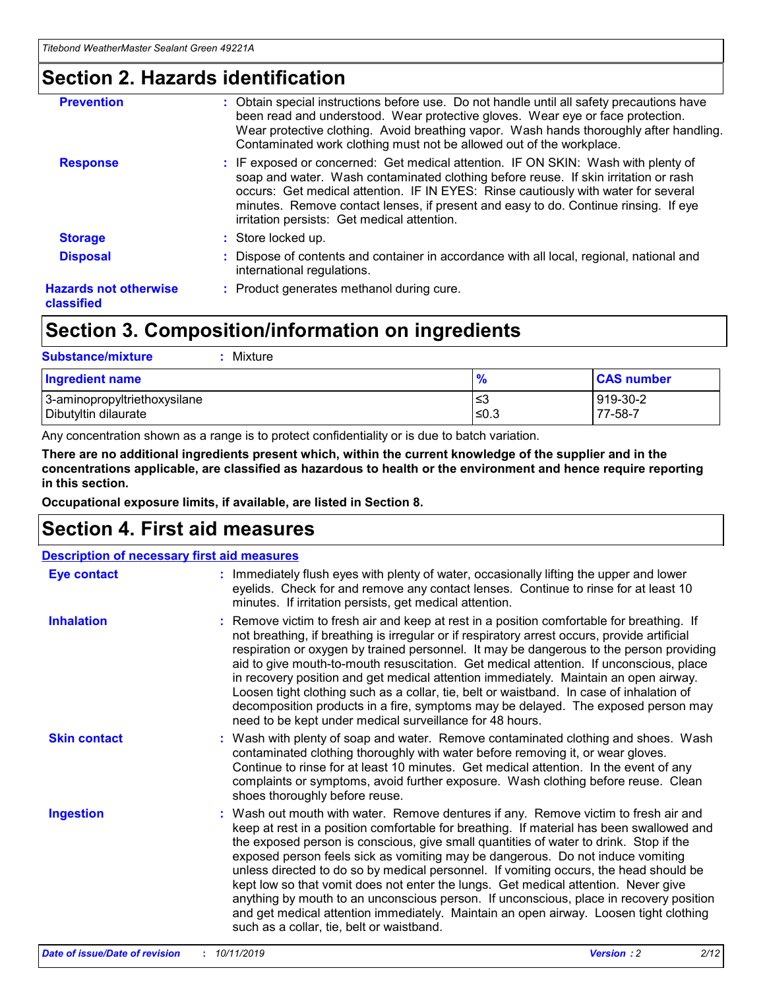### **Section 2. Hazards identification**

| <b>Prevention</b>                          | : Obtain special instructions before use. Do not handle until all safety precautions have<br>been read and understood. Wear protective gloves. Wear eye or face protection.<br>Wear protective clothing. Avoid breathing vapor. Wash hands thoroughly after handling.<br>Contaminated work clothing must not be allowed out of the workplace.                                                        |
|--------------------------------------------|------------------------------------------------------------------------------------------------------------------------------------------------------------------------------------------------------------------------------------------------------------------------------------------------------------------------------------------------------------------------------------------------------|
| <b>Response</b>                            | : IF exposed or concerned: Get medical attention. IF ON SKIN: Wash with plenty of<br>soap and water. Wash contaminated clothing before reuse. If skin irritation or rash<br>occurs: Get medical attention. IF IN EYES: Rinse cautiously with water for several<br>minutes. Remove contact lenses, if present and easy to do. Continue rinsing. If eye<br>irritation persists: Get medical attention. |
| <b>Storage</b>                             | : Store locked up.                                                                                                                                                                                                                                                                                                                                                                                   |
| <b>Disposal</b>                            | : Dispose of contents and container in accordance with all local, regional, national and<br>international regulations.                                                                                                                                                                                                                                                                               |
| <b>Hazards not otherwise</b><br>classified | : Product generates methanol during cure.                                                                                                                                                                                                                                                                                                                                                            |
|                                            |                                                                                                                                                                                                                                                                                                                                                                                                      |

### **Section 3. Composition/information on ingredients**

| <b>Substance/mixture</b><br>Mixture                  |               |                     |
|------------------------------------------------------|---------------|---------------------|
| <b>Ingredient name</b>                               | $\frac{9}{6}$ | <b>CAS number</b>   |
| 3-aminopropyltriethoxysilane<br>Dibutyltin dilaurate | ≤3<br>≤0.3    | 919-30-2<br>77-58-7 |

Any concentration shown as a range is to protect confidentiality or is due to batch variation.

**There are no additional ingredients present which, within the current knowledge of the supplier and in the concentrations applicable, are classified as hazardous to health or the environment and hence require reporting in this section.**

**Occupational exposure limits, if available, are listed in Section 8.**

### **Section 4. First aid measures**

| <b>Description of necessary first aid measures</b> |                                                                                                                                                                                                                                                                                                                                                                                                                                                                                                                                                                                                                                                                                                                                                                           |  |  |  |
|----------------------------------------------------|---------------------------------------------------------------------------------------------------------------------------------------------------------------------------------------------------------------------------------------------------------------------------------------------------------------------------------------------------------------------------------------------------------------------------------------------------------------------------------------------------------------------------------------------------------------------------------------------------------------------------------------------------------------------------------------------------------------------------------------------------------------------------|--|--|--|
| <b>Eye contact</b>                                 | : Immediately flush eyes with plenty of water, occasionally lifting the upper and lower<br>eyelids. Check for and remove any contact lenses. Continue to rinse for at least 10<br>minutes. If irritation persists, get medical attention.                                                                                                                                                                                                                                                                                                                                                                                                                                                                                                                                 |  |  |  |
| <b>Inhalation</b>                                  | : Remove victim to fresh air and keep at rest in a position comfortable for breathing. If<br>not breathing, if breathing is irregular or if respiratory arrest occurs, provide artificial<br>respiration or oxygen by trained personnel. It may be dangerous to the person providing<br>aid to give mouth-to-mouth resuscitation. Get medical attention. If unconscious, place<br>in recovery position and get medical attention immediately. Maintain an open airway.<br>Loosen tight clothing such as a collar, tie, belt or waistband. In case of inhalation of<br>decomposition products in a fire, symptoms may be delayed. The exposed person may<br>need to be kept under medical surveillance for 48 hours.                                                       |  |  |  |
| <b>Skin contact</b>                                | : Wash with plenty of soap and water. Remove contaminated clothing and shoes. Wash<br>contaminated clothing thoroughly with water before removing it, or wear gloves.<br>Continue to rinse for at least 10 minutes. Get medical attention. In the event of any<br>complaints or symptoms, avoid further exposure. Wash clothing before reuse. Clean<br>shoes thoroughly before reuse.                                                                                                                                                                                                                                                                                                                                                                                     |  |  |  |
| <b>Ingestion</b>                                   | : Wash out mouth with water. Remove dentures if any. Remove victim to fresh air and<br>keep at rest in a position comfortable for breathing. If material has been swallowed and<br>the exposed person is conscious, give small quantities of water to drink. Stop if the<br>exposed person feels sick as vomiting may be dangerous. Do not induce vomiting<br>unless directed to do so by medical personnel. If vomiting occurs, the head should be<br>kept low so that vomit does not enter the lungs. Get medical attention. Never give<br>anything by mouth to an unconscious person. If unconscious, place in recovery position<br>and get medical attention immediately. Maintain an open airway. Loosen tight clothing<br>such as a collar, tie, belt or waistband. |  |  |  |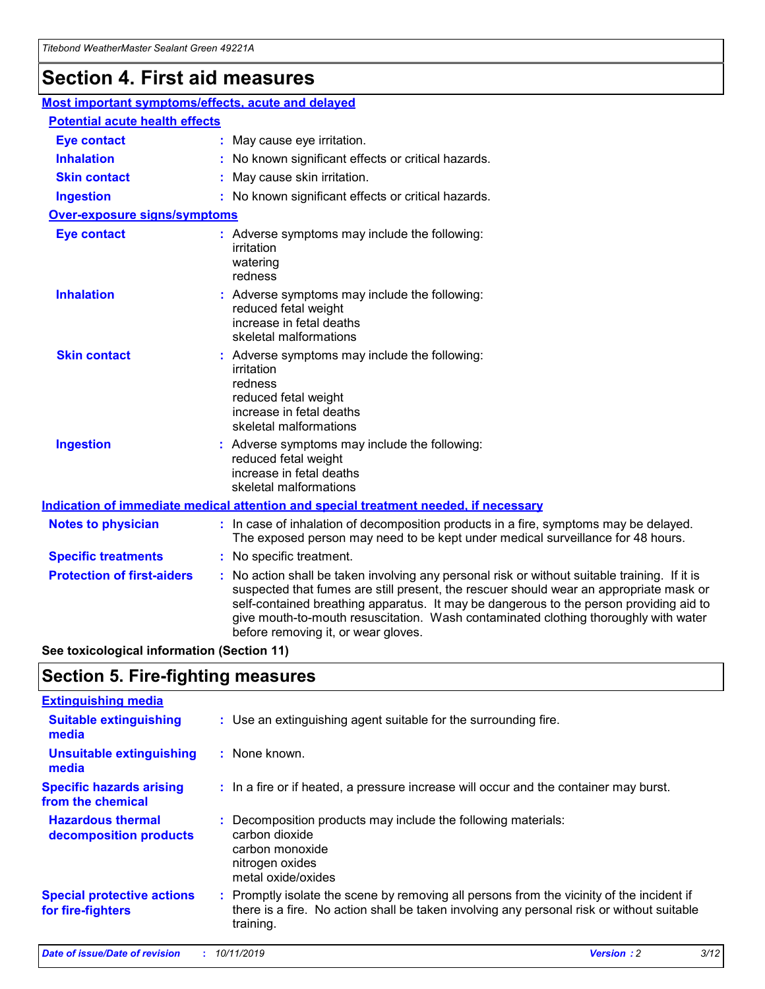## **Section 4. First aid measures**

| Most important symptoms/effects, acute and delayed |                                       |                                                                                                                                                                                                                                                                                                                                                                                                                 |  |  |  |
|----------------------------------------------------|---------------------------------------|-----------------------------------------------------------------------------------------------------------------------------------------------------------------------------------------------------------------------------------------------------------------------------------------------------------------------------------------------------------------------------------------------------------------|--|--|--|
|                                                    | <b>Potential acute health effects</b> |                                                                                                                                                                                                                                                                                                                                                                                                                 |  |  |  |
| <b>Eye contact</b>                                 |                                       | : May cause eye irritation.                                                                                                                                                                                                                                                                                                                                                                                     |  |  |  |
| <b>Inhalation</b>                                  |                                       | : No known significant effects or critical hazards.                                                                                                                                                                                                                                                                                                                                                             |  |  |  |
| <b>Skin contact</b>                                |                                       | : May cause skin irritation.                                                                                                                                                                                                                                                                                                                                                                                    |  |  |  |
| <b>Ingestion</b>                                   |                                       | : No known significant effects or critical hazards.                                                                                                                                                                                                                                                                                                                                                             |  |  |  |
| <b>Over-exposure signs/symptoms</b>                |                                       |                                                                                                                                                                                                                                                                                                                                                                                                                 |  |  |  |
| <b>Eye contact</b>                                 |                                       | : Adverse symptoms may include the following:<br>irritation<br>watering<br>redness                                                                                                                                                                                                                                                                                                                              |  |  |  |
| <b>Inhalation</b>                                  |                                       | : Adverse symptoms may include the following:<br>reduced fetal weight<br>increase in fetal deaths<br>skeletal malformations                                                                                                                                                                                                                                                                                     |  |  |  |
| <b>Skin contact</b>                                |                                       | : Adverse symptoms may include the following:<br>irritation<br>redness<br>reduced fetal weight<br>increase in fetal deaths<br>skeletal malformations                                                                                                                                                                                                                                                            |  |  |  |
| <b>Ingestion</b>                                   |                                       | : Adverse symptoms may include the following:<br>reduced fetal weight<br>increase in fetal deaths<br>skeletal malformations                                                                                                                                                                                                                                                                                     |  |  |  |
|                                                    |                                       | <b>Indication of immediate medical attention and special treatment needed, if necessary</b>                                                                                                                                                                                                                                                                                                                     |  |  |  |
| <b>Notes to physician</b>                          |                                       | : In case of inhalation of decomposition products in a fire, symptoms may be delayed.<br>The exposed person may need to be kept under medical surveillance for 48 hours.                                                                                                                                                                                                                                        |  |  |  |
| <b>Specific treatments</b>                         |                                       | : No specific treatment.                                                                                                                                                                                                                                                                                                                                                                                        |  |  |  |
| <b>Protection of first-aiders</b>                  |                                       | : No action shall be taken involving any personal risk or without suitable training. If it is<br>suspected that fumes are still present, the rescuer should wear an appropriate mask or<br>self-contained breathing apparatus. It may be dangerous to the person providing aid to<br>give mouth-to-mouth resuscitation. Wash contaminated clothing thoroughly with water<br>before removing it, or wear gloves. |  |  |  |

**See toxicological information (Section 11)**

### **Section 5. Fire-fighting measures**

| <b>Extinguishing media</b>                             |                                                                                                                                                                                                     |
|--------------------------------------------------------|-----------------------------------------------------------------------------------------------------------------------------------------------------------------------------------------------------|
| <b>Suitable extinguishing</b><br>media                 | : Use an extinguishing agent suitable for the surrounding fire.                                                                                                                                     |
| <b>Unsuitable extinguishing</b><br>media               | : None known.                                                                                                                                                                                       |
| <b>Specific hazards arising</b><br>from the chemical   | : In a fire or if heated, a pressure increase will occur and the container may burst.                                                                                                               |
| <b>Hazardous thermal</b><br>decomposition products     | : Decomposition products may include the following materials:<br>carbon dioxide<br>carbon monoxide<br>nitrogen oxides<br>metal oxide/oxides                                                         |
| <b>Special protective actions</b><br>for fire-fighters | : Promptly isolate the scene by removing all persons from the vicinity of the incident if<br>there is a fire. No action shall be taken involving any personal risk or without suitable<br>training. |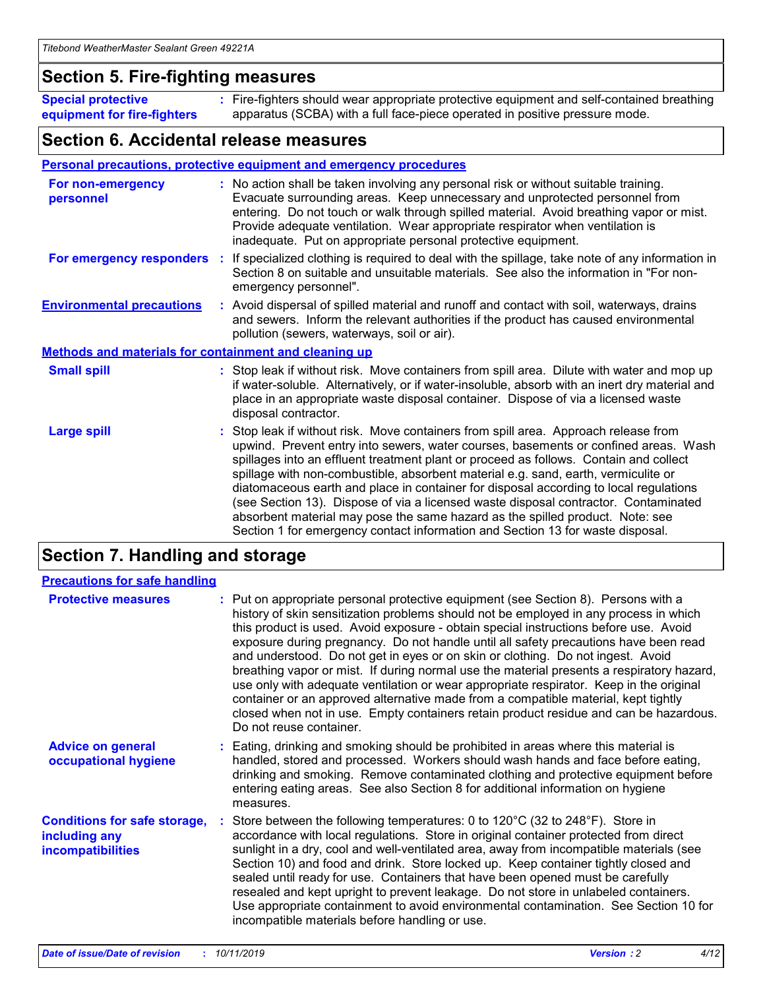### **Section 5. Fire-fighting measures**

**Special protective equipment for fire-fighters** Fire-fighters should wear appropriate protective equipment and self-contained breathing **:** apparatus (SCBA) with a full face-piece operated in positive pressure mode.

### **Section 6. Accidental release measures**

#### **Personal precautions, protective equipment and emergency procedures**

| For non-emergency<br>personnel                               | : No action shall be taken involving any personal risk or without suitable training.<br>Evacuate surrounding areas. Keep unnecessary and unprotected personnel from<br>entering. Do not touch or walk through spilled material. Avoid breathing vapor or mist.<br>Provide adequate ventilation. Wear appropriate respirator when ventilation is<br>inadequate. Put on appropriate personal protective equipment.                                                                                                                                                                                                                                                                                             |
|--------------------------------------------------------------|--------------------------------------------------------------------------------------------------------------------------------------------------------------------------------------------------------------------------------------------------------------------------------------------------------------------------------------------------------------------------------------------------------------------------------------------------------------------------------------------------------------------------------------------------------------------------------------------------------------------------------------------------------------------------------------------------------------|
|                                                              | For emergency responders : If specialized clothing is required to deal with the spillage, take note of any information in<br>Section 8 on suitable and unsuitable materials. See also the information in "For non-<br>emergency personnel".                                                                                                                                                                                                                                                                                                                                                                                                                                                                  |
| <b>Environmental precautions</b>                             | : Avoid dispersal of spilled material and runoff and contact with soil, waterways, drains<br>and sewers. Inform the relevant authorities if the product has caused environmental<br>pollution (sewers, waterways, soil or air).                                                                                                                                                                                                                                                                                                                                                                                                                                                                              |
| <b>Methods and materials for containment and cleaning up</b> |                                                                                                                                                                                                                                                                                                                                                                                                                                                                                                                                                                                                                                                                                                              |
| <b>Small spill</b>                                           | : Stop leak if without risk. Move containers from spill area. Dilute with water and mop up<br>if water-soluble. Alternatively, or if water-insoluble, absorb with an inert dry material and<br>place in an appropriate waste disposal container. Dispose of via a licensed waste<br>disposal contractor.                                                                                                                                                                                                                                                                                                                                                                                                     |
| <b>Large spill</b>                                           | : Stop leak if without risk. Move containers from spill area. Approach release from<br>upwind. Prevent entry into sewers, water courses, basements or confined areas. Wash<br>spillages into an effluent treatment plant or proceed as follows. Contain and collect<br>spillage with non-combustible, absorbent material e.g. sand, earth, vermiculite or<br>diatomaceous earth and place in container for disposal according to local regulations<br>(see Section 13). Dispose of via a licensed waste disposal contractor. Contaminated<br>absorbent material may pose the same hazard as the spilled product. Note: see<br>Section 1 for emergency contact information and Section 13 for waste disposal. |

### **Section 7. Handling and storage**

| <b>Precautions for safe handling</b>                                             |                                                                                                                                                                                                                                                                                                                                                                                                                                                                                                                                                                                                                                                                                                                                                                                                                                                  |
|----------------------------------------------------------------------------------|--------------------------------------------------------------------------------------------------------------------------------------------------------------------------------------------------------------------------------------------------------------------------------------------------------------------------------------------------------------------------------------------------------------------------------------------------------------------------------------------------------------------------------------------------------------------------------------------------------------------------------------------------------------------------------------------------------------------------------------------------------------------------------------------------------------------------------------------------|
| <b>Protective measures</b>                                                       | : Put on appropriate personal protective equipment (see Section 8). Persons with a<br>history of skin sensitization problems should not be employed in any process in which<br>this product is used. Avoid exposure - obtain special instructions before use. Avoid<br>exposure during pregnancy. Do not handle until all safety precautions have been read<br>and understood. Do not get in eyes or on skin or clothing. Do not ingest. Avoid<br>breathing vapor or mist. If during normal use the material presents a respiratory hazard,<br>use only with adequate ventilation or wear appropriate respirator. Keep in the original<br>container or an approved alternative made from a compatible material, kept tightly<br>closed when not in use. Empty containers retain product residue and can be hazardous.<br>Do not reuse container. |
| <b>Advice on general</b><br>occupational hygiene                                 | : Eating, drinking and smoking should be prohibited in areas where this material is<br>handled, stored and processed. Workers should wash hands and face before eating,<br>drinking and smoking. Remove contaminated clothing and protective equipment before<br>entering eating areas. See also Section 8 for additional information on hygiene<br>measures.                                                                                                                                                                                                                                                                                                                                                                                                                                                                                    |
| <b>Conditions for safe storage,</b><br>including any<br><b>incompatibilities</b> | Store between the following temperatures: 0 to 120 $\degree$ C (32 to 248 $\degree$ F). Store in<br>accordance with local regulations. Store in original container protected from direct<br>sunlight in a dry, cool and well-ventilated area, away from incompatible materials (see<br>Section 10) and food and drink. Store locked up. Keep container tightly closed and<br>sealed until ready for use. Containers that have been opened must be carefully<br>resealed and kept upright to prevent leakage. Do not store in unlabeled containers.<br>Use appropriate containment to avoid environmental contamination. See Section 10 for<br>incompatible materials before handling or use.                                                                                                                                                     |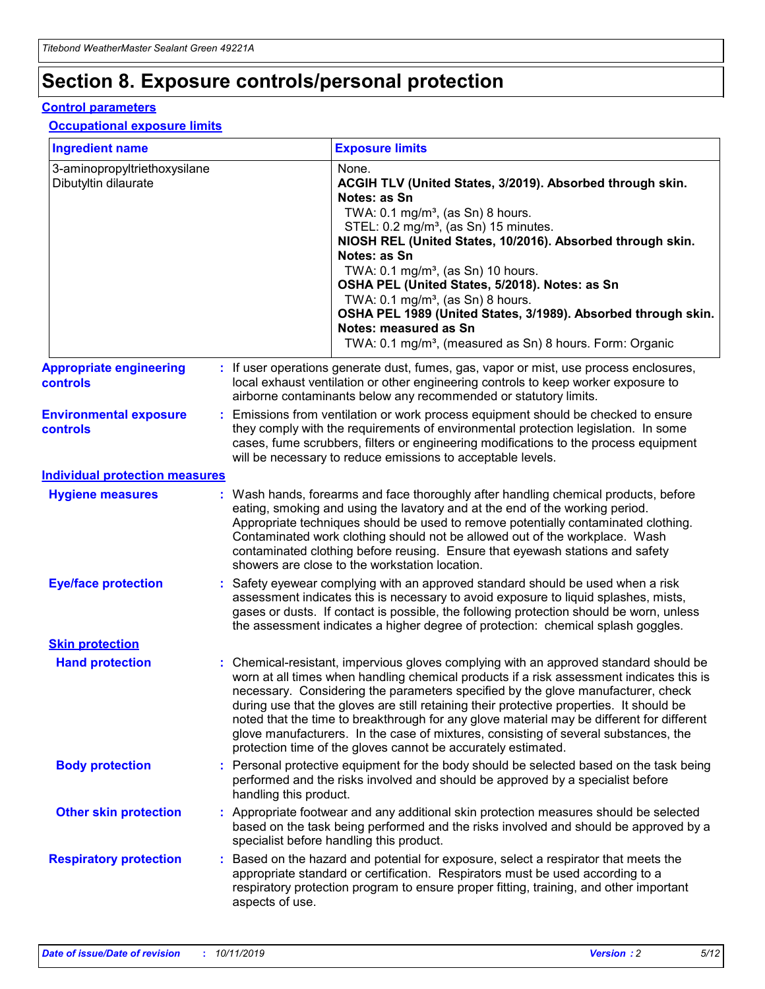## **Section 8. Exposure controls/personal protection**

#### **Control parameters**

#### **Occupational exposure limits**

| <b>Ingredient name</b>                               |    |                        | <b>Exposure limits</b>                                                                                                                                                                                                                                                                                                                                                                                                                                                                                                                                                                                                 |
|------------------------------------------------------|----|------------------------|------------------------------------------------------------------------------------------------------------------------------------------------------------------------------------------------------------------------------------------------------------------------------------------------------------------------------------------------------------------------------------------------------------------------------------------------------------------------------------------------------------------------------------------------------------------------------------------------------------------------|
| 3-aminopropyltriethoxysilane<br>Dibutyltin dilaurate |    |                        | None.<br>ACGIH TLV (United States, 3/2019). Absorbed through skin.<br>Notes: as Sn<br>TWA: $0.1 \text{ mg/m}^3$ , (as Sn) 8 hours.<br>STEL: 0.2 mg/m <sup>3</sup> , (as Sn) 15 minutes.<br>NIOSH REL (United States, 10/2016). Absorbed through skin.<br>Notes: as Sn<br>TWA: 0.1 mg/m <sup>3</sup> , (as Sn) 10 hours.<br>OSHA PEL (United States, 5/2018). Notes: as Sn<br>TWA: $0.1 \text{ mg/m}^3$ , (as Sn) 8 hours.<br>OSHA PEL 1989 (United States, 3/1989). Absorbed through skin.<br>Notes: measured as Sn<br>TWA: 0.1 mg/m <sup>3</sup> , (measured as Sn) 8 hours. Form: Organic                            |
| <b>Appropriate engineering</b><br>controls           |    |                        | : If user operations generate dust, fumes, gas, vapor or mist, use process enclosures,<br>local exhaust ventilation or other engineering controls to keep worker exposure to<br>airborne contaminants below any recommended or statutory limits.                                                                                                                                                                                                                                                                                                                                                                       |
| <b>Environmental exposure</b><br>controls            |    |                        | Emissions from ventilation or work process equipment should be checked to ensure<br>they comply with the requirements of environmental protection legislation. In some<br>cases, fume scrubbers, filters or engineering modifications to the process equipment<br>will be necessary to reduce emissions to acceptable levels.                                                                                                                                                                                                                                                                                          |
| <b>Individual protection measures</b>                |    |                        |                                                                                                                                                                                                                                                                                                                                                                                                                                                                                                                                                                                                                        |
| <b>Hygiene measures</b>                              |    |                        | : Wash hands, forearms and face thoroughly after handling chemical products, before<br>eating, smoking and using the lavatory and at the end of the working period.<br>Appropriate techniques should be used to remove potentially contaminated clothing.<br>Contaminated work clothing should not be allowed out of the workplace. Wash<br>contaminated clothing before reusing. Ensure that eyewash stations and safety<br>showers are close to the workstation location.                                                                                                                                            |
| <b>Eye/face protection</b>                           |    |                        | : Safety eyewear complying with an approved standard should be used when a risk<br>assessment indicates this is necessary to avoid exposure to liquid splashes, mists,<br>gases or dusts. If contact is possible, the following protection should be worn, unless<br>the assessment indicates a higher degree of protection: chemical splash goggles.                                                                                                                                                                                                                                                                  |
| <b>Skin protection</b>                               |    |                        |                                                                                                                                                                                                                                                                                                                                                                                                                                                                                                                                                                                                                        |
| <b>Hand protection</b>                               |    |                        | : Chemical-resistant, impervious gloves complying with an approved standard should be<br>worn at all times when handling chemical products if a risk assessment indicates this is<br>necessary. Considering the parameters specified by the glove manufacturer, check<br>during use that the gloves are still retaining their protective properties. It should be<br>noted that the time to breakthrough for any glove material may be different for different<br>glove manufacturers. In the case of mixtures, consisting of several substances, the<br>protection time of the gloves cannot be accurately estimated. |
| <b>Body protection</b>                               |    | handling this product. | Personal protective equipment for the body should be selected based on the task being<br>performed and the risks involved and should be approved by a specialist before                                                                                                                                                                                                                                                                                                                                                                                                                                                |
| <b>Other skin protection</b>                         |    |                        | : Appropriate footwear and any additional skin protection measures should be selected<br>based on the task being performed and the risks involved and should be approved by a<br>specialist before handling this product.                                                                                                                                                                                                                                                                                                                                                                                              |
| <b>Respiratory protection</b>                        | ÷. | aspects of use.        | Based on the hazard and potential for exposure, select a respirator that meets the<br>appropriate standard or certification. Respirators must be used according to a<br>respiratory protection program to ensure proper fitting, training, and other important                                                                                                                                                                                                                                                                                                                                                         |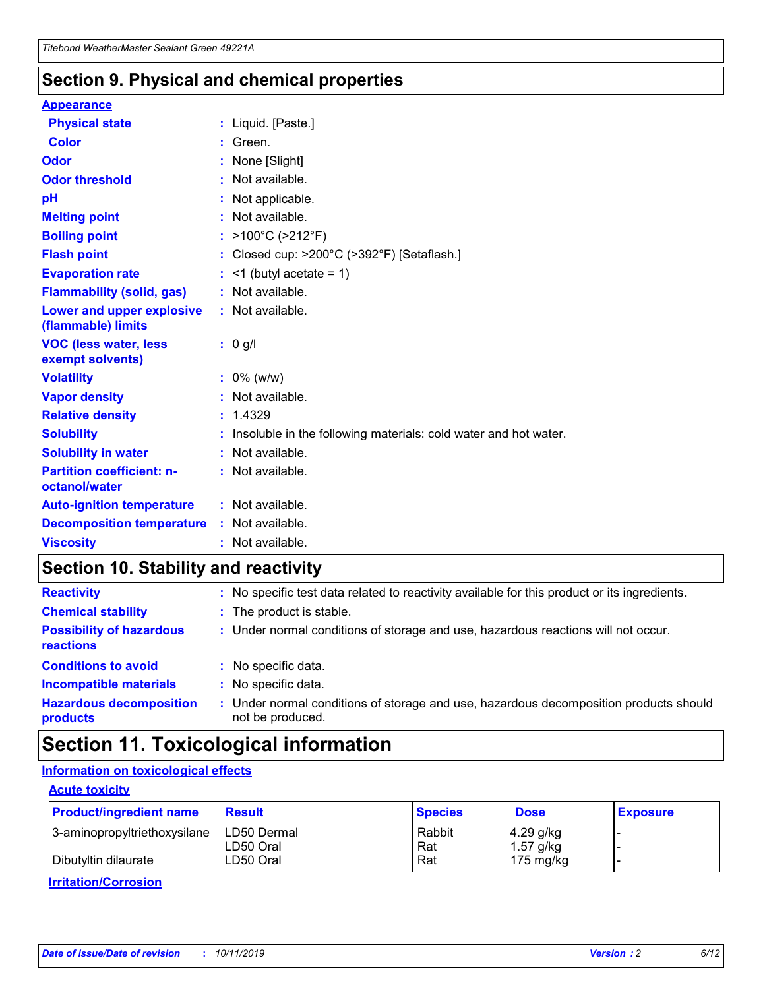### **Section 9. Physical and chemical properties**

#### **Appearance**

| <b>Physical state</b>                             | : Liquid. [Paste.]                                              |
|---------------------------------------------------|-----------------------------------------------------------------|
| Color                                             | Green.                                                          |
| Odor                                              | : None [Slight]                                                 |
| <b>Odor threshold</b>                             | : Not available.                                                |
| рH                                                | : Not applicable.                                               |
| <b>Melting point</b>                              | : Not available.                                                |
| <b>Boiling point</b>                              | : >100°C (>212°F)                                               |
| <b>Flash point</b>                                | : Closed cup: $>200^{\circ}$ C ( $>392^{\circ}$ F) [Setaflash.] |
| <b>Evaporation rate</b>                           | $:$ <1 (butyl acetate = 1)                                      |
| <b>Flammability (solid, gas)</b>                  | : Not available.                                                |
| Lower and upper explosive<br>(flammable) limits   | : Not available.                                                |
| <b>VOC (less water, less</b><br>exempt solvents)  | : 0 g/l                                                         |
| <b>Volatility</b>                                 | $: 0\%$ (w/w)                                                   |
| <b>Vapor density</b>                              | : Not available.                                                |
| <b>Relative density</b>                           | : 1.4329                                                        |
| <b>Solubility</b>                                 | Insoluble in the following materials: cold water and hot water. |
| <b>Solubility in water</b>                        | : Not available.                                                |
| <b>Partition coefficient: n-</b><br>octanol/water | $:$ Not available.                                              |
| <b>Auto-ignition temperature</b>                  | : Not available.                                                |
| <b>Decomposition temperature</b>                  | : Not available.                                                |
|                                                   |                                                                 |

### **Section 10. Stability and reactivity**

| <b>Reactivity</b>                            |    | : No specific test data related to reactivity available for this product or its ingredients.            |
|----------------------------------------------|----|---------------------------------------------------------------------------------------------------------|
| <b>Chemical stability</b>                    |    | : The product is stable.                                                                                |
| <b>Possibility of hazardous</b><br>reactions |    | : Under normal conditions of storage and use, hazardous reactions will not occur.                       |
| <b>Conditions to avoid</b>                   |    | : No specific data.                                                                                     |
| <b>Incompatible materials</b>                | ٠. | No specific data.                                                                                       |
| <b>Hazardous decomposition</b><br>products   | ÷. | Under normal conditions of storage and use, hazardous decomposition products should<br>not be produced. |

### **Section 11. Toxicological information**

### **Information on toxicological effects**

#### **Acute toxicity**

| <b>Product/ingredient name</b> | <b>Result</b>           | <b>Species</b> | <b>Dose</b>                | <b>Exposure</b> |
|--------------------------------|-------------------------|----------------|----------------------------|-----------------|
| 3-aminopropyltriethoxysilane   | <b>ILD50 Dermal</b>     | Rabbit         | 4.29 g/kg                  |                 |
| Dibutyltin dilaurate           | ILD50 Oral<br>LD50 Oral | Rat<br>Rat     | $1.57$ g/kg<br>175 $mg/kg$ |                 |
|                                |                         |                |                            |                 |

**Irritation/Corrosion**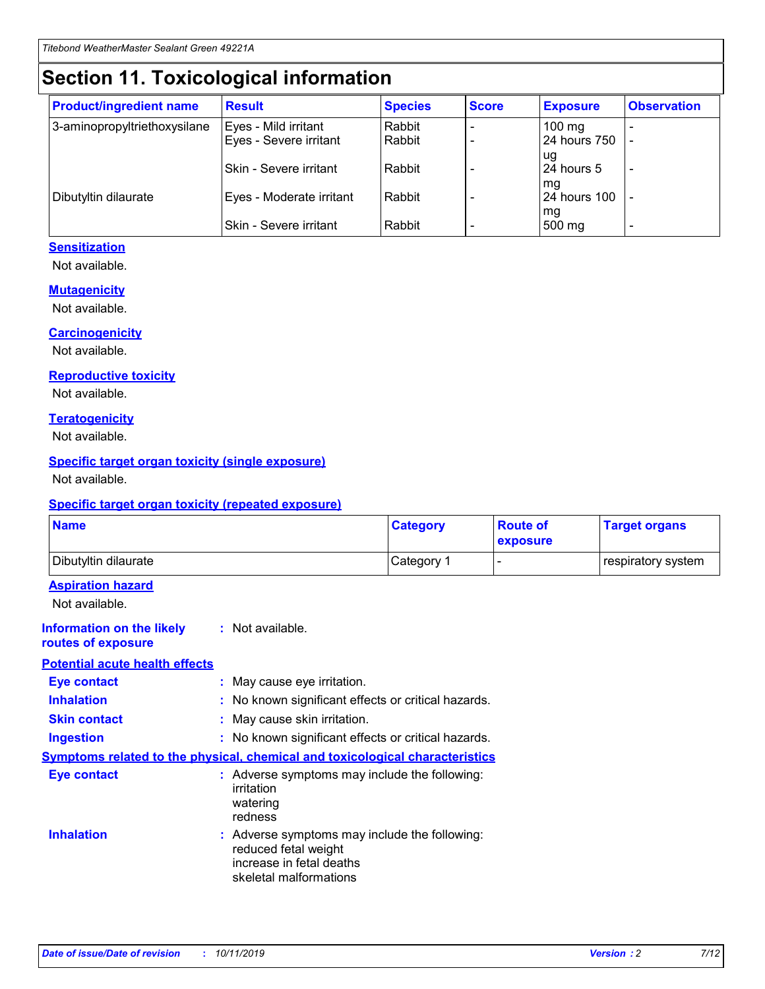## **Section 11. Toxicological information**

| <b>Product/ingredient name</b> | <b>Result</b>            | <b>Species</b> | <b>Score</b> | <b>Exposure</b>           | <b>Observation</b> |
|--------------------------------|--------------------------|----------------|--------------|---------------------------|--------------------|
| 3-aminopropyltriethoxysilane   | Eyes - Mild irritant     | Rabbit         |              | $100$ mg                  |                    |
|                                | Eyes - Severe irritant   | Rabbit         |              | 24 hours 750              |                    |
|                                |                          |                |              | ug                        |                    |
|                                | Skin - Severe irritant   | Rabbit         |              | 24 hours 5                | -                  |
| Dibutyltin dilaurate           | Eyes - Moderate irritant | Rabbit         |              | mq<br><b>24 hours 100</b> |                    |
|                                |                          |                |              | mg                        |                    |
|                                | Skin - Severe irritant   | Rabbit         |              | 500 mg                    |                    |

#### **Sensitization**

Not available.

#### **Mutagenicity**

Not available.

#### **Carcinogenicity**

Not available.

#### **Reproductive toxicity**

Not available.

#### **Teratogenicity**

Not available.

#### **Specific target organ toxicity (single exposure)**

Not available.

#### **Specific target organ toxicity (repeated exposure)**

| <b>Name</b>                                                                  |                                                                            | <b>Category</b>                                     | <b>Route of</b><br>exposure | <b>Target organs</b> |
|------------------------------------------------------------------------------|----------------------------------------------------------------------------|-----------------------------------------------------|-----------------------------|----------------------|
| Dibutyltin dilaurate                                                         |                                                                            | Category 1                                          | -                           | respiratory system   |
| <b>Aspiration hazard</b><br>Not available.                                   |                                                                            |                                                     |                             |                      |
| <b>Information on the likely</b><br>routes of exposure                       | : Not available.                                                           |                                                     |                             |                      |
| <b>Potential acute health effects</b>                                        |                                                                            |                                                     |                             |                      |
| <b>Eye contact</b>                                                           | : May cause eye irritation.                                                |                                                     |                             |                      |
| <b>Inhalation</b>                                                            |                                                                            | : No known significant effects or critical hazards. |                             |                      |
| <b>Skin contact</b>                                                          | : May cause skin irritation.                                               |                                                     |                             |                      |
| <b>Ingestion</b>                                                             |                                                                            | : No known significant effects or critical hazards. |                             |                      |
| Symptoms related to the physical, chemical and toxicological characteristics |                                                                            |                                                     |                             |                      |
| <b>Eye contact</b>                                                           | irritation<br>watering<br>redness                                          | : Adverse symptoms may include the following:       |                             |                      |
| <b>Inhalation</b>                                                            | reduced fetal weight<br>increase in fetal deaths<br>skeletal malformations | : Adverse symptoms may include the following:       |                             |                      |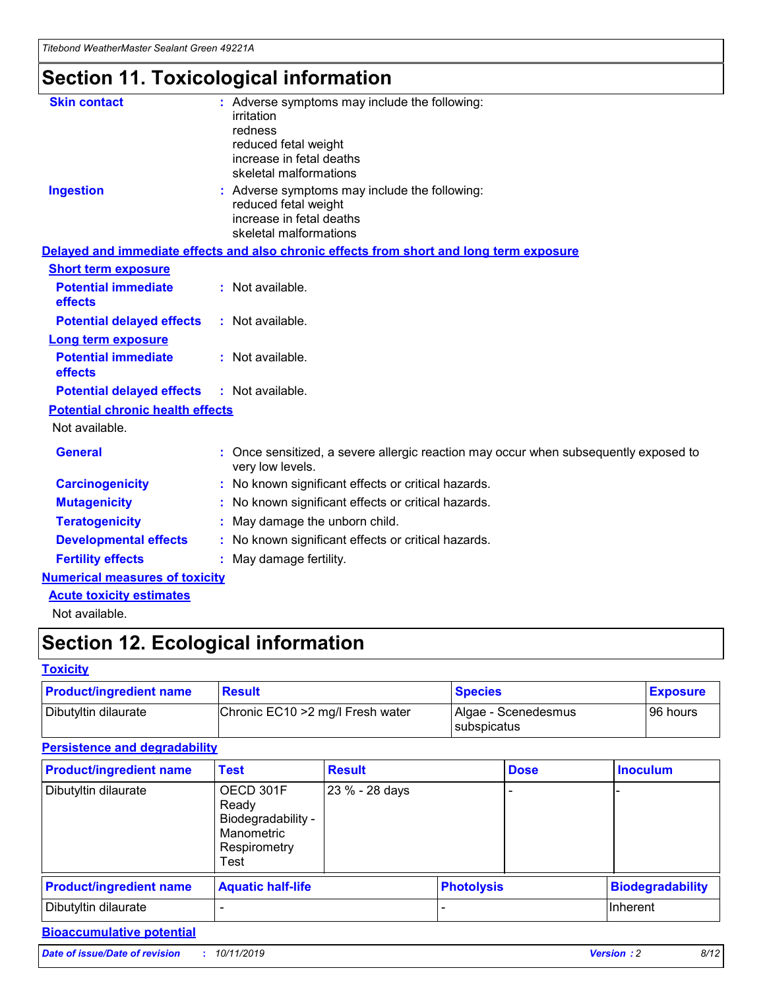## **Section 11. Toxicological information**

| <b>Skin contact</b>                     | : Adverse symptoms may include the following:<br>irritation<br>redness<br>reduced fetal weight<br>increase in fetal deaths<br>skeletal malformations |
|-----------------------------------------|------------------------------------------------------------------------------------------------------------------------------------------------------|
| <b>Ingestion</b>                        | : Adverse symptoms may include the following:<br>reduced fetal weight<br>increase in fetal deaths<br>skeletal malformations                          |
|                                         | Delayed and immediate effects and also chronic effects from short and long term exposure                                                             |
| <b>Short term exposure</b>              |                                                                                                                                                      |
| <b>Potential immediate</b><br>effects   | : Not available.                                                                                                                                     |
| <b>Potential delayed effects</b>        | : Not available.                                                                                                                                     |
| <b>Long term exposure</b>               |                                                                                                                                                      |
| <b>Potential immediate</b><br>effects   | : Not available.                                                                                                                                     |
| <b>Potential delayed effects</b>        | : Not available.                                                                                                                                     |
| <b>Potential chronic health effects</b> |                                                                                                                                                      |
| Not available.                          |                                                                                                                                                      |
| <b>General</b>                          | : Once sensitized, a severe allergic reaction may occur when subsequently exposed to<br>very low levels.                                             |
| <b>Carcinogenicity</b>                  | : No known significant effects or critical hazards.                                                                                                  |
| <b>Mutagenicity</b>                     | No known significant effects or critical hazards.                                                                                                    |
| <b>Teratogenicity</b>                   | May damage the unborn child.                                                                                                                         |
| <b>Developmental effects</b>            | No known significant effects or critical hazards.                                                                                                    |
| <b>Fertility effects</b>                | : May damage fertility.                                                                                                                              |
| <b>Numerical measures of toxicity</b>   |                                                                                                                                                      |
| <b>Acute toxicity estimates</b>         |                                                                                                                                                      |
|                                         |                                                                                                                                                      |

Not available.

## **Section 12. Ecological information**

#### **Toxicity**

| <b>Product/ingredient name</b> | <b>Result</b>                     | <b>Species</b>                       | <b>Exposure</b> |
|--------------------------------|-----------------------------------|--------------------------------------|-----------------|
| Dibutyltin dilaurate           | Chronic EC10 > 2 mg/l Fresh water | Algae - Scenedesmus<br>I subspicatus | l 96 hours i    |

### **Persistence and degradability**

| <b>Product/ingredient name</b> | <b>Test</b>                                                                    | <b>Result</b>  |                   | <b>Dose</b> | <b>Inoculum</b>         |
|--------------------------------|--------------------------------------------------------------------------------|----------------|-------------------|-------------|-------------------------|
| Dibutyltin dilaurate           | OECD 301F<br>Ready<br>Biodegradability -<br>Manometric<br>Respirometry<br>Test | 23 % - 28 days |                   |             |                         |
| <b>Product/ingredient name</b> | <b>Aquatic half-life</b>                                                       |                | <b>Photolysis</b> |             | <b>Biodegradability</b> |
| Dibutyltin dilaurate           |                                                                                |                |                   |             | Inherent                |

### **Bioaccumulative potential**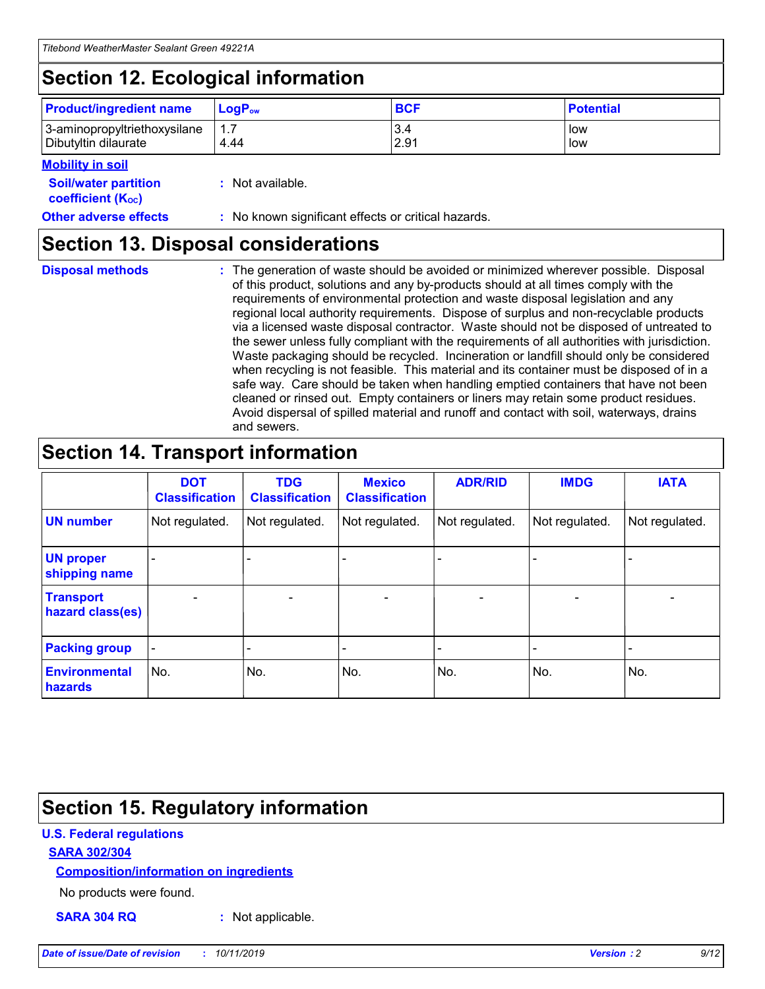## **Section 12. Ecological information**

| <b>Product/ingredient name</b> | $LoaPow$ | <b>BCF</b> | <b>Potential</b> |
|--------------------------------|----------|------------|------------------|
| 3-aminopropyltriethoxysilane   | 1.7      | 3.4        | low              |
| Dibutyltin dilaurate           | 4.44     | 2.91       | low              |

#### **Mobility in soil**

| <b>Soil/water partition</b><br>coefficient (K <sub>oc</sub> ) | : Not available.                                    |
|---------------------------------------------------------------|-----------------------------------------------------|
| <b>Other adverse effects</b>                                  | : No known significant effects or critical hazards. |

### **Section 13. Disposal considerations**

**Disposal methods :**

The generation of waste should be avoided or minimized wherever possible. Disposal of this product, solutions and any by-products should at all times comply with the requirements of environmental protection and waste disposal legislation and any regional local authority requirements. Dispose of surplus and non-recyclable products via a licensed waste disposal contractor. Waste should not be disposed of untreated to the sewer unless fully compliant with the requirements of all authorities with jurisdiction. Waste packaging should be recycled. Incineration or landfill should only be considered when recycling is not feasible. This material and its container must be disposed of in a safe way. Care should be taken when handling emptied containers that have not been cleaned or rinsed out. Empty containers or liners may retain some product residues. Avoid dispersal of spilled material and runoff and contact with soil, waterways, drains and sewers.

## **Section 14. Transport information**

|                                      | <b>DOT</b><br><b>Classification</b> | <b>TDG</b><br><b>Classification</b> | <b>Mexico</b><br><b>Classification</b> | <b>ADR/RID</b>           | <b>IMDG</b>     | <b>IATA</b>              |
|--------------------------------------|-------------------------------------|-------------------------------------|----------------------------------------|--------------------------|-----------------|--------------------------|
| <b>UN number</b>                     | Not regulated.                      | Not regulated.                      | Not regulated.                         | Not regulated.           | Not regulated.  | Not regulated.           |
| <b>UN proper</b><br>shipping name    | $\qquad \qquad \blacksquare$        |                                     |                                        |                          |                 |                          |
| <b>Transport</b><br>hazard class(es) | $\overline{\phantom{0}}$            | $\qquad \qquad$                     | $\qquad \qquad$                        | $\overline{\phantom{a}}$ | $\qquad \qquad$ | $\overline{\phantom{0}}$ |
| <b>Packing group</b>                 | $\overline{\phantom{a}}$            | -                                   |                                        |                          |                 |                          |
| <b>Environmental</b><br>hazards      | No.                                 | No.                                 | No.                                    | No.                      | No.             | No.                      |

## **Section 15. Regulatory information**

#### **U.S. Federal regulations**

#### **SARA 302/304**

#### **Composition/information on ingredients**

No products were found.

**SARA 304 RQ :** Not applicable.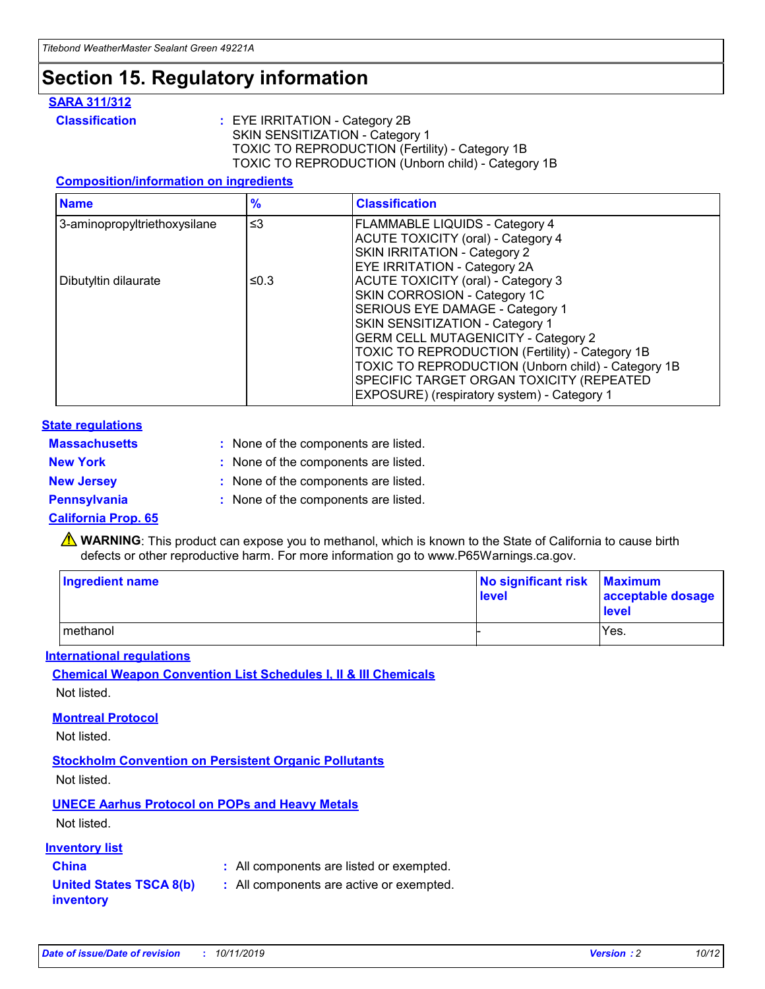### **Section 15. Regulatory information**

#### **SARA 311/312**

**Classification :** EYE IRRITATION - Category 2B SKIN SENSITIZATION - Category 1 TOXIC TO REPRODUCTION (Fertility) - Category 1B TOXIC TO REPRODUCTION (Unborn child) - Category 1B

#### **Composition/information on ingredients**

| <b>Name</b>                  | $\frac{9}{6}$ | <b>Classification</b>                                                                                            |
|------------------------------|---------------|------------------------------------------------------------------------------------------------------------------|
| 3-aminopropyltriethoxysilane | $\leq$ 3      | <b>FLAMMABLE LIQUIDS - Category 4</b><br><b>ACUTE TOXICITY (oral) - Category 4</b>                               |
|                              |               | SKIN IRRITATION - Category 2<br>EYE IRRITATION - Category 2A                                                     |
| Dibutyltin dilaurate         | ≤0.3          | ACUTE TOXICITY (oral) - Category 3<br>SKIN CORROSION - Category 1C                                               |
|                              |               | SERIOUS EYE DAMAGE - Category 1<br>SKIN SENSITIZATION - Category 1<br><b>GERM CELL MUTAGENICITY - Category 2</b> |
|                              |               | TOXIC TO REPRODUCTION (Fertility) - Category 1B<br>TOXIC TO REPRODUCTION (Unborn child) - Category 1B            |
|                              |               | SPECIFIC TARGET ORGAN TOXICITY (REPEATED<br>EXPOSURE) (respiratory system) - Category 1                          |

#### **State regulations**

| <b>Massachusetts</b> | : None of the components are listed. |
|----------------------|--------------------------------------|
| <b>New York</b>      | : None of the components are listed. |
| <b>New Jersey</b>    | : None of the components are listed. |
| <b>Pennsylvania</b>  | : None of the components are listed. |

#### **California Prop. 65**

**A** WARNING: This product can expose you to methanol, which is known to the State of California to cause birth defects or other reproductive harm. For more information go to www.P65Warnings.ca.gov.

| <b>Ingredient name</b> | No significant risk Maximum<br>level | acceptable dosage<br>level |
|------------------------|--------------------------------------|----------------------------|
| methanol               |                                      | Yes.                       |

#### **International regulations**

**Chemical Weapon Convention List Schedules I, II & III Chemicals** Not listed.

#### **Montreal Protocol**

Not listed.

**Stockholm Convention on Persistent Organic Pollutants**

Not listed.

### **UNECE Aarhus Protocol on POPs and Heavy Metals**

Not listed.

#### **Inventory list**

### **China :** All components are listed or exempted.

**United States TSCA 8(b) inventory :** All components are active or exempted.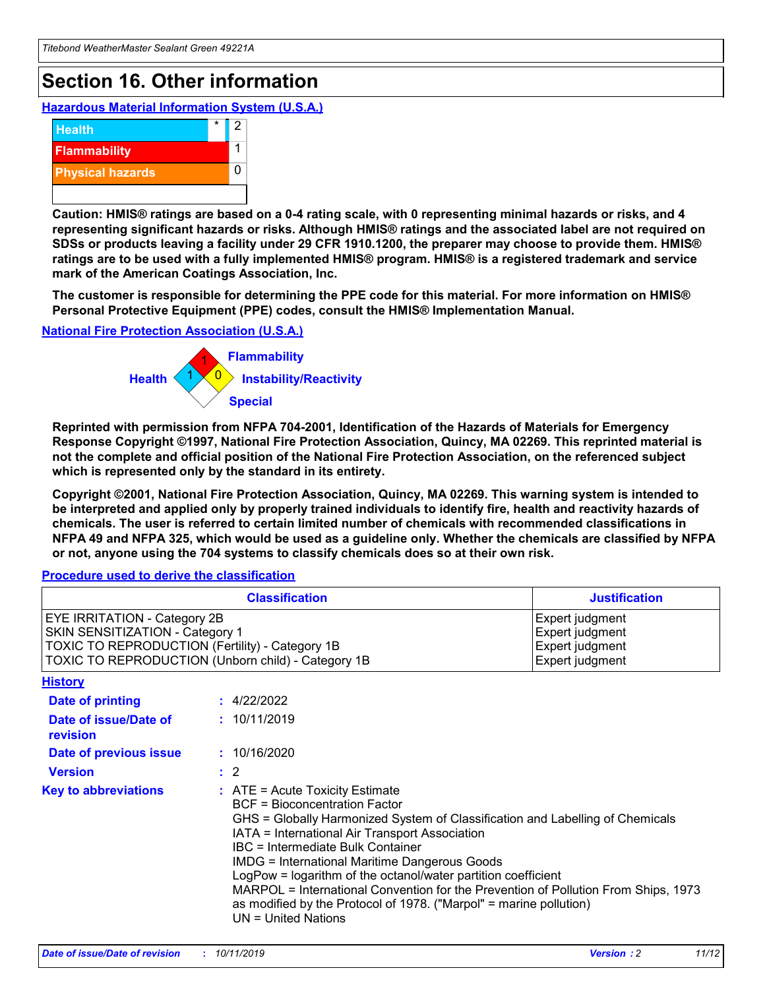## **Section 16. Other information**

**Hazardous Material Information System (U.S.A.)**



**Caution: HMIS® ratings are based on a 0-4 rating scale, with 0 representing minimal hazards or risks, and 4 representing significant hazards or risks. Although HMIS® ratings and the associated label are not required on SDSs or products leaving a facility under 29 CFR 1910.1200, the preparer may choose to provide them. HMIS® ratings are to be used with a fully implemented HMIS® program. HMIS® is a registered trademark and service mark of the American Coatings Association, Inc.**

**The customer is responsible for determining the PPE code for this material. For more information on HMIS® Personal Protective Equipment (PPE) codes, consult the HMIS® Implementation Manual.**

#### **National Fire Protection Association (U.S.A.)**



**Reprinted with permission from NFPA 704-2001, Identification of the Hazards of Materials for Emergency Response Copyright ©1997, National Fire Protection Association, Quincy, MA 02269. This reprinted material is not the complete and official position of the National Fire Protection Association, on the referenced subject which is represented only by the standard in its entirety.**

**Copyright ©2001, National Fire Protection Association, Quincy, MA 02269. This warning system is intended to be interpreted and applied only by properly trained individuals to identify fire, health and reactivity hazards of chemicals. The user is referred to certain limited number of chemicals with recommended classifications in NFPA 49 and NFPA 325, which would be used as a guideline only. Whether the chemicals are classified by NFPA or not, anyone using the 704 systems to classify chemicals does so at their own risk.**

#### **Procedure used to derive the classification**

| <b>Classification</b>                                                                                                                                                                  |                                                                                                                                                                                                                                                                   | <b>Justification</b>                                                                                                                                                                                                                                                                                       |  |
|----------------------------------------------------------------------------------------------------------------------------------------------------------------------------------------|-------------------------------------------------------------------------------------------------------------------------------------------------------------------------------------------------------------------------------------------------------------------|------------------------------------------------------------------------------------------------------------------------------------------------------------------------------------------------------------------------------------------------------------------------------------------------------------|--|
| <b>EYE IRRITATION - Category 2B</b><br>SKIN SENSITIZATION - Category 1<br><b>TOXIC TO REPRODUCTION (Fertility) - Category 1B</b><br>TOXIC TO REPRODUCTION (Unborn child) - Category 1B |                                                                                                                                                                                                                                                                   | Expert judgment<br>Expert judgment<br>Expert judgment<br>Expert judgment                                                                                                                                                                                                                                   |  |
| <b>History</b>                                                                                                                                                                         |                                                                                                                                                                                                                                                                   |                                                                                                                                                                                                                                                                                                            |  |
| Date of printing                                                                                                                                                                       | : 4/22/2022                                                                                                                                                                                                                                                       |                                                                                                                                                                                                                                                                                                            |  |
| Date of issue/Date of<br>revision                                                                                                                                                      | : 10/11/2019                                                                                                                                                                                                                                                      |                                                                                                                                                                                                                                                                                                            |  |
| Date of previous issue                                                                                                                                                                 | : 10/16/2020                                                                                                                                                                                                                                                      |                                                                                                                                                                                                                                                                                                            |  |
| <b>Version</b>                                                                                                                                                                         | $\therefore$ 2                                                                                                                                                                                                                                                    |                                                                                                                                                                                                                                                                                                            |  |
| <b>Key to abbreviations</b>                                                                                                                                                            | $\therefore$ ATE = Acute Toxicity Estimate<br><b>BCF</b> = Bioconcentration Factor<br>IATA = International Air Transport Association<br><b>IBC</b> = Intermediate Bulk Container<br><b>IMDG = International Maritime Dangerous Goods</b><br>$UN = United Nations$ | GHS = Globally Harmonized System of Classification and Labelling of Chemicals<br>LogPow = logarithm of the octanol/water partition coefficient<br>MARPOL = International Convention for the Prevention of Pollution From Ships, 1973<br>as modified by the Protocol of 1978. ("Marpol" = marine pollution) |  |